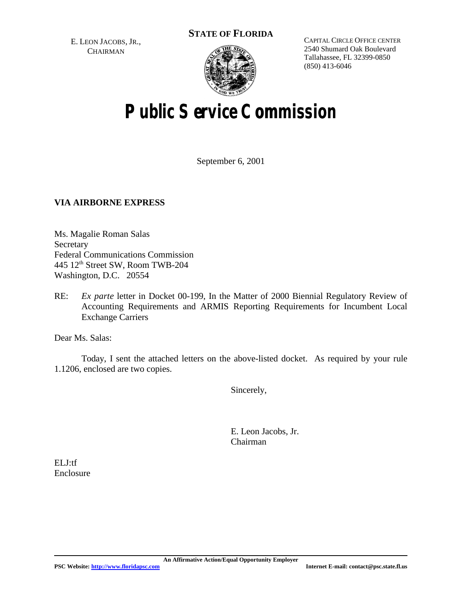E. LEON JACOBS, JR., **CHAIRMAN** 



CAPITAL CIRCLE OFFICE CENTER 2540 Shumard Oak Boulevard Tallahassee, FL 32399-0850 (850) 413-6046

# **Public Service Commission**

September 6, 2001

#### **VIA AIRBORNE EXPRESS**

Ms. Magalie Roman Salas Secretary Federal Communications Commission  $445$  12<sup>th</sup> Street SW, Room TWB-204 Washington, D.C. 20554

RE: *Ex parte* letter in Docket 00-199, In the Matter of 2000 Biennial Regulatory Review of Accounting Requirements and ARMIS Reporting Requirements for Incumbent Local Exchange Carriers

Dear Ms. Salas:

Today, I sent the attached letters on the above-listed docket. As required by your rule 1.1206, enclosed are two copies.

Sincerely,

E. Leon Jacobs, Jr. Chairman

ELJ:tf Enclosure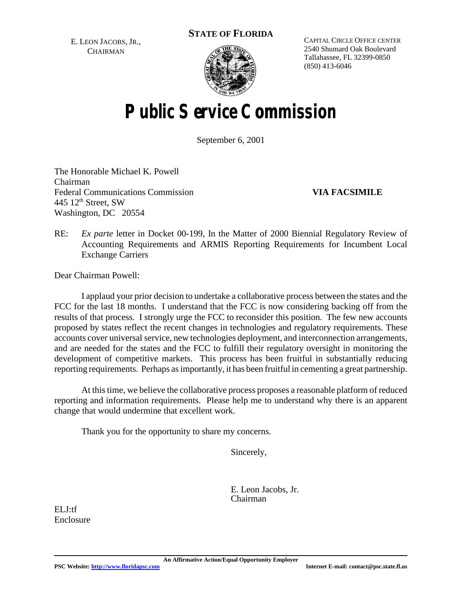E. LEON JACOBS, JR., **CHAIRMAN** 



CAPITAL CIRCLE OFFICE CENTER 2540 Shumard Oak Boulevard Tallahassee, FL 32399-0850 (850) 413-6046

# **Public Service Commission**

September 6, 2001

The Honorable Michael K. Powell Chairman Federal Communications Commission **VIA FACSIMILE**  445  $12<sup>th</sup>$  Street, SW Washington, DC 20554

RE: *Ex parte* letter in Docket 00-199, In the Matter of 2000 Biennial Regulatory Review of Accounting Requirements and ARMIS Reporting Requirements for Incumbent Local Exchange Carriers

Dear Chairman Powell:

I applaud your prior decision to undertake a collaborative process between the states and the FCC for the last 18 months. I understand that the FCC is now considering backing off from the results of that process. I strongly urge the FCC to reconsider this position. The few new accounts proposed by states reflect the recent changes in technologies and regulatory requirements. These accounts cover universal service, new technologies deployment, and interconnection arrangements, and are needed for the states and the FCC to fulfill their regulatory oversight in monitoring the development of competitive markets. This process has been fruitful in substantially reducing reporting requirements. Perhaps as importantly, it has been fruitful in cementing a great partnership.

At thistime, we believe the collaborative process proposes a reasonable platform of reduced reporting and information requirements. Please help me to understand why there is an apparent change that would undermine that excellent work.

Thank you for the opportunity to share my concerns.

Sincerely,

E. Leon Jacobs, Jr. Chairman

ELJ:tf Enclosure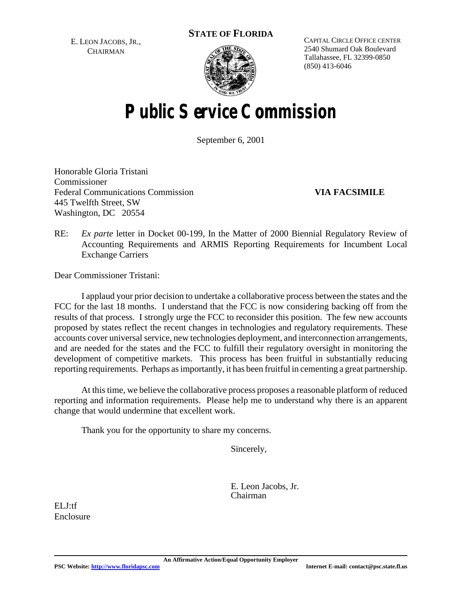E. LEON JACOBS, JR., **CHAIRMAN** 



CAPITAL CIRCLE OFFICE CENTER 2540 Shumard Oak Boulevard Tallahassee, FL 32399-0850 (850) 413-6046

# **Public Service Commission**

September 6, 2001

Honorable Gloria Tristani Commissioner Federal Communications Commission **VIA FACSIMILE** 445 Twelfth Street, SW Washington, DC 20554

RE: *Ex parte* letter in Docket 00-199, In the Matter of 2000 Biennial Regulatory Review of Accounting Requirements and ARMIS Reporting Requirements for Incumbent Local Exchange Carriers

Dear Commissioner Tristani:

I applaud your prior decision to undertake a collaborative process between the states and the FCC for the last 18 months. I understand that the FCC is now considering backing off from the results of that process. I strongly urge the FCC to reconsider this position. The few new accounts proposed by states reflect the recent changes in technologies and regulatory requirements. These accounts cover universal service, new technologies deployment, and interconnection arrangements, and are needed for the states and the FCC to fulfill their regulatory oversight in monitoring the development of competitive markets. This process has been fruitful in substantially reducing reporting requirements. Perhaps as importantly, it has been fruitful in cementing a great partnership.

At thistime, we believe the collaborative process proposes a reasonable platform of reduced reporting and information requirements. Please help me to understand why there is an apparent change that would undermine that excellent work.

Thank you for the opportunity to share my concerns.

Sincerely,

E. Leon Jacobs, Jr. Chairman

ELJ:tf Enclosure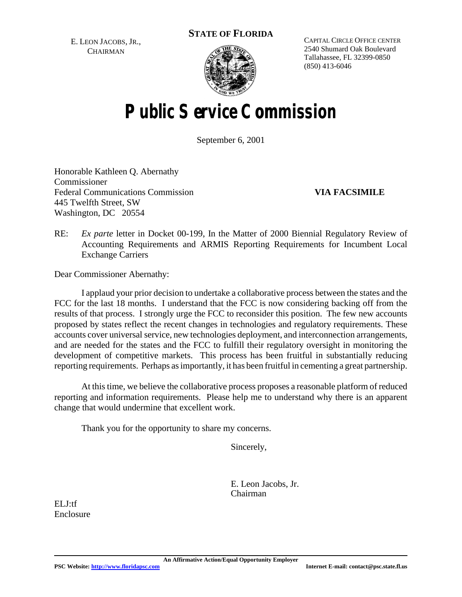E. LEON JACOBS, JR., **CHAIRMAN** 



CAPITAL CIRCLE OFFICE CENTER 2540 Shumard Oak Boulevard Tallahassee, FL 32399-0850 (850) 413-6046

# **Public Service Commission**

September 6, 2001

Honorable Kathleen Q. Abernathy Commissioner Federal Communications Commission **VIA FACSIMILE** 445 Twelfth Street, SW Washington, DC 20554

RE: *Ex parte* letter in Docket 00-199, In the Matter of 2000 Biennial Regulatory Review of Accounting Requirements and ARMIS Reporting Requirements for Incumbent Local Exchange Carriers

Dear Commissioner Abernathy:

I applaud your prior decision to undertake a collaborative process between the states and the FCC for the last 18 months. I understand that the FCC is now considering backing off from the results of that process. I strongly urge the FCC to reconsider this position. The few new accounts proposed by states reflect the recent changes in technologies and regulatory requirements. These accounts cover universal service, new technologies deployment, and interconnection arrangements, and are needed for the states and the FCC to fulfill their regulatory oversight in monitoring the development of competitive markets. This process has been fruitful in substantially reducing reporting requirements. Perhaps as importantly, it has been fruitful in cementing a great partnership.

At this time, we believe the collaborative process proposes a reasonable platform of reduced reporting and information requirements. Please help me to understand why there is an apparent change that would undermine that excellent work.

Thank you for the opportunity to share my concerns.

Sincerely,

E. Leon Jacobs, Jr. Chairman

ELJ:tf Enclosure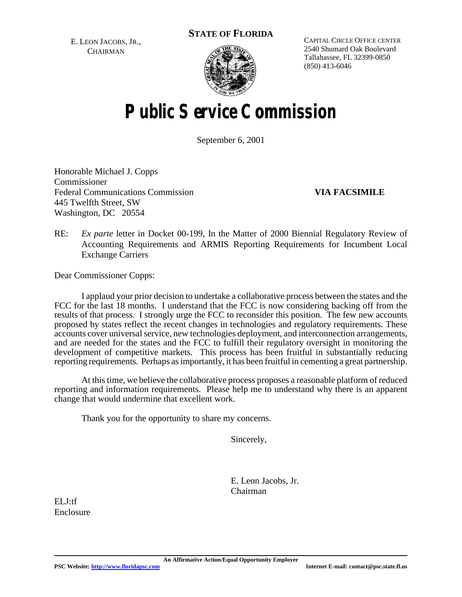E. LEON JACOBS, JR., **CHAIRMAN** 



CAPITAL CIRCLE OFFICE CENTER 2540 Shumard Oak Boulevard Tallahassee, FL 32399-0850 (850) 413-6046

# **Public Service Commission**

September 6, 2001

Honorable Michael J. Copps Commissioner Federal Communications Commission **VIA FACSIMILE** 445 Twelfth Street, SW Washington, DC 20554

RE: *Ex parte* letter in Docket 00-199, In the Matter of 2000 Biennial Regulatory Review of Accounting Requirements and ARMIS Reporting Requirements for Incumbent Local Exchange Carriers

Dear Commissioner Copps:

I applaud your prior decision to undertake a collaborative process between the states and the FCC for the last 18 months. I understand that the FCC is now considering backing off from the results of that process. I strongly urge the FCC to reconsider this position. The few new accounts proposed by states reflect the recent changes in technologies and regulatory requirements. These accounts cover universal service, new technologies deployment, and interconnection arrangements, and are needed for the states and the FCC to fulfill their regulatory oversight in monitoring the development of competitive markets. This process has been fruitful in substantially reducing reporting requirements. Perhaps as importantly, it has been fruitful in cementing a great partnership.

At thistime, we believe the collaborative process proposes a reasonable platform of reduced reporting and information requirements. Please help me to understand why there is an apparent change that would undermine that excellent work.

Thank you for the opportunity to share my concerns.

Sincerely,

E. Leon Jacobs, Jr. Chairman

ELJ:tf Enclosure